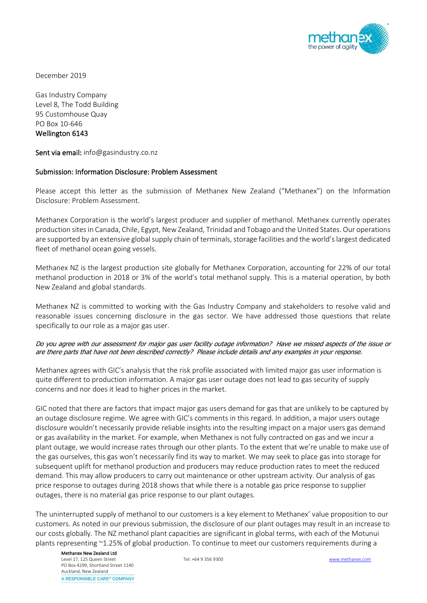

December 2019

Gas Industry Company Level 8, The Todd Building 95 Customhouse Quay PO Box 10-646 Wellington 6143

Sent via email: info@gasindustry.co.nz

## Submission: Information Disclosure: Problem Assessment

Please accept this letter as the submission of Methanex New Zealand ("Methanex") on the Information Disclosure: Problem Assessment.

Methanex Corporation is the world's largest producer and supplier of methanol. Methanex currently operates production sites in Canada, Chile, Egypt, New Zealand, Trinidad and Tobago and the United States. Our operations are supported by an extensive global supply chain of terminals, storage facilities and the world's largest dedicated fleet of methanol ocean going vessels.

Methanex NZ is the largest production site globally for Methanex Corporation, accounting for 22% of our total methanol production in 2018 or 3% of the world's total methanol supply. This is a material operation, by both New Zealand and global standards.

Methanex NZ is committed to working with the Gas Industry Company and stakeholders to resolve valid and reasonable issues concerning disclosure in the gas sector. We have addressed those questions that relate specifically to our role as a major gas user.

## Do you agree with our assessment for major gas user facility outage information? Have we missed aspects of the issue or are there parts that have not been described correctly? Please include details and any examples in your response.

Methanex agrees with GIC's analysis that the risk profile associated with limited major gas user information is quite different to production information. A major gas user outage does not lead to gas security of supply concerns and nor does it lead to higher prices in the market.

GIC noted that there are factors that impact major gas users demand for gas that are unlikely to be captured by an outage disclosure regime. We agree with GIC's comments in this regard. In addition, a major users outage disclosure wouldn't necessarily provide reliable insights into the resulting impact on a major users gas demand or gas availability in the market. For example, when Methanex is not fully contracted on gas and we incur a plant outage, we would increase rates through our other plants. To the extent that we're unable to make use of the gas ourselves, this gas won't necessarily find its way to market. We may seek to place gas into storage for subsequent uplift for methanol production and producers may reduce production rates to meet the reduced demand. This may allow producers to carry out maintenance or other upstream activity. Our analysis of gas price response to outages during 2018 shows that while there is a notable gas price response to supplier outages, there is no material gas price response to our plant outages.

The uninterrupted supply of methanol to our customers is a key element to Methanex' value proposition to our customers. As noted in our previous submission, the disclosure of our plant outages may result in an increase to our costs globally. The NZ methanol plant capacities are significant in global terms, with each of the Motunui plants representing ~1.25% of global production. To continue to meet our customers requirements during a